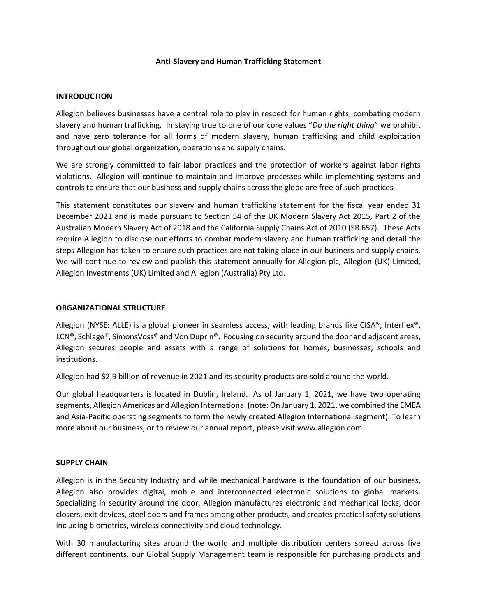### **Anti-Slavery and Human Trafficking Statement**

### **INTRODUCTION**

Allegion believes businesses have a central role to play in respect for human rights, combating modern slavery and human trafficking. In staying true to one of our core values "*Do the right thing*" we prohibit and have zero tolerance for all forms of modern slavery, human trafficking and child exploitation throughout our global organization, operations and supply chains.

We are strongly committed to fair labor practices and the protection of workers against labor rights violations. Allegion will continue to maintain and improve processes while implementing systems and controls to ensure that our business and supply chains across the globe are free of such practices

This statement constitutes our slavery and human trafficking statement for the fiscal year ended 31 December 2021 and is made pursuant to Section 54 of the UK Modern Slavery Act 2015, Part 2 of the Australian Modern Slavery Act of 2018 and the California Supply Chains Act of 2010 (SB 657). These Acts require Allegion to disclose our efforts to combat modern slavery and human trafficking and detail the steps Allegion has taken to ensure such practices are not taking place in our business and supply chains. We will continue to review and publish this statement annually for Allegion plc, Allegion (UK) Limited, Allegion Investments (UK) Limited and Allegion (Australia) Pty Ltd.

## **ORGANIZATIONAL STRUCTURE**

Allegion (NYSE: ALLE) is a global pioneer in seamless access, with leading brands like CISA®, Interflex®, LCN®, Schlage®, SimonsVoss® and Von Duprin®. Focusing on security around the door and adjacent areas, Allegion secures people and assets with a range of solutions for homes, businesses, schools and institutions.

Allegion had \$2.9 billion of revenue in 2021 and its security products are sold around the world.

Our global headquarters is located in Dublin, Ireland. As of January 1, 2021, we have two operating segments, Allegion Americas and Allegion International (note: On January 1, 2021, we combined the EMEA and Asia-Pacific operating segments to form the newly created Allegion International segment). To learn more about our business, or to review our annual report, please visit www.allegion.com.

#### **SUPPLY CHAIN**

Allegion is in the Security Industry and while mechanical hardware is the foundation of our business, Allegion also provides digital, mobile and interconnected electronic solutions to global markets. Specializing in security around the door, Allegion manufactures electronic and mechanical locks, door closers, exit devices, steel doors and frames among other products, and creates practical safety solutions including biometrics, wireless connectivity and cloud technology.

With 30 manufacturing sites around the world and multiple distribution centers spread across five different continents, our Global Supply Management team is responsible for purchasing products and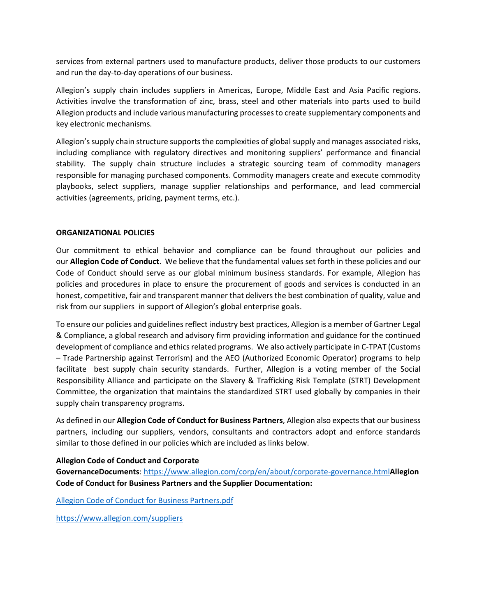services from external partners used to manufacture products, deliver those products to our customers and run the day-to-day operations of our business.

Allegion's supply chain includes suppliers in Americas, Europe, Middle East and Asia Pacific regions. Activities involve the transformation of zinc, brass, steel and other materials into parts used to build Allegion products and include various manufacturing processes to create supplementary components and key electronic mechanisms.

Allegion's supply chain structure supports the complexities of global supply and manages associated risks, including compliance with regulatory directives and monitoring suppliers' performance and financial stability. The supply chain structure includes a strategic sourcing team of commodity managers responsible for managing purchased components. Commodity managers create and execute commodity playbooks, select suppliers, manage supplier relationships and performance, and lead commercial activities (agreements, pricing, payment terms, etc.).

## **ORGANIZATIONAL POLICIES**

Our commitment to ethical behavior and compliance can be found throughout our policies and our **Allegion Code of Conduct**. We believe that the fundamental values set forth in these policies and our Code of Conduct should serve as our global minimum business standards. For example, Allegion has policies and procedures in place to ensure the procurement of goods and services is conducted in an honest, competitive, fair and transparent manner that delivers the best combination of quality, value and risk from our suppliers in support of Allegion's global enterprise goals.

To ensure our policies and guidelines reflect industry best practices, Allegion is a member of Gartner Legal & Compliance, a global research and advisory firm providing information and guidance for the continued development of compliance and ethics related programs. We also actively participate in C-TPAT (Customs – Trade Partnership against Terrorism) and the AEO (Authorized Economic Operator) programs to help facilitate best supply chain security standards. Further, Allegion is a voting member of the Social Responsibility Alliance and participate on the Slavery & Trafficking Risk Template (STRT) Development Committee, the organization that maintains the standardized STRT used globally by companies in their supply chain transparency programs.

As defined in our **Allegion Code of Conduct for Business Partners**, Allegion also expects that our business partners, including our suppliers, vendors, consultants and contractors adopt and enforce standards similar to those defined in our policies which are included as links below.

## **Allegion Code of Conduct and Corporate**

**GovernanceDocuments**: <https://www.allegion.com/corp/en/about/corporate-governance.html>**Allegion Code of Conduct for Business Partners and the Supplier Documentation:**

[Allegion Code of Conduct for Business Partners.pdf](https://www.allegion.com/content/dam/allegion-corp/other/Allegion%20Code%20of%20Conduct%20for%20Business%20Partners.pdf#:~:text=This%20Allegion%20Code%20of%20Conduct%20for%20Business%20Partners,affiliates%20and%20divisions%2C%20including%20merchandising%20affiliates%20of%20Allegion.)

<https://www.allegion.com/suppliers>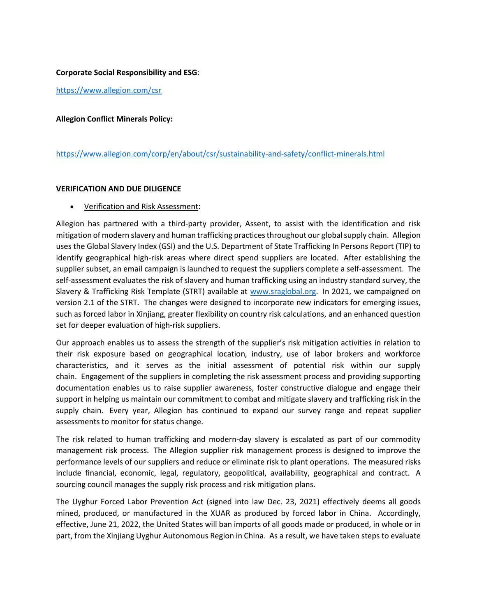## **Corporate Social Responsibility and ESG**:

<https://www.allegion.com/csr>

### **Allegion Conflict Minerals Policy:**

## <https://www.allegion.com/corp/en/about/csr/sustainability-and-safety/conflict-minerals.html>

#### **VERIFICATION AND DUE DILIGENCE**

• Verification and Risk Assessment:

Allegion has partnered with a third-party provider, Assent, to assist with the identification and risk mitigation of modern slavery and human trafficking practices throughout our global supply chain. Allegion uses the Global Slavery Index (GSI) and the U.S. Department of State Trafficking In Persons Report (TIP) to identify geographical high-risk areas where direct spend suppliers are located. After establishing the supplier subset, an email campaign is launched to request the suppliers complete a self-assessment. The self-assessment evaluates the risk of slavery and human trafficking using an industry standard survey, the Slavery & Trafficking Risk Template (STRT) available at [www.sraglobal.org.](http://www.sraglobal.org/) In 2021, we campaigned on version 2.1 of the STRT. The changes were designed to incorporate new indicators for emerging issues, such as forced labor in Xinjiang, greater flexibility on country risk calculations, and an enhanced question set for deeper evaluation of high-risk suppliers.

Our approach enables us to assess the strength of the supplier's risk mitigation activities in relation to their risk exposure based on geographical location, industry, use of labor brokers and workforce characteristics, and it serves as the initial assessment of potential risk within our supply chain. Engagement of the suppliers in completing the risk assessment process and providing supporting documentation enables us to raise supplier awareness, foster constructive dialogue and engage their support in helping us maintain our commitment to combat and mitigate slavery and trafficking risk in the supply chain. Every year, Allegion has continued to expand our survey range and repeat supplier assessments to monitor for status change.

The risk related to human trafficking and modern-day slavery is escalated as part of our commodity management risk process. The Allegion supplier risk management process is designed to improve the performance levels of our suppliers and reduce or eliminate risk to plant operations. The measured risks include financial, economic, legal, regulatory, geopolitical, availability, geographical and contract. A sourcing council manages the supply risk process and risk mitigation plans.

The Uyghur Forced Labor Prevention Act (signed into law Dec. 23, 2021) effectively deems all goods mined, produced, or manufactured in the XUAR as produced by forced labor in China. Accordingly, effective, June 21, 2022, the United States will ban imports of all goods made or produced, in whole or in part, from the Xinjiang Uyghur Autonomous Region in China. As a result, we have taken steps to evaluate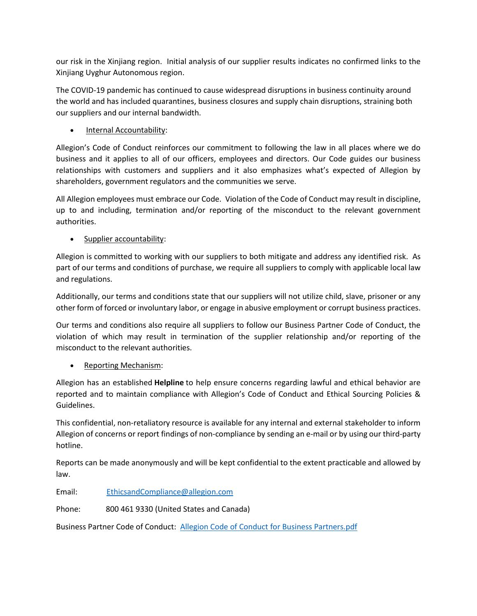our risk in the Xinjiang region. Initial analysis of our supplier results indicates no confirmed links to the Xinjiang Uyghur Autonomous region.

The COVID-19 pandemic has continued to cause widespread disruptions in business continuity around the world and has included quarantines, business closures and supply chain disruptions, straining both our suppliers and our internal bandwidth.

• Internal Accountability:

Allegion's Code of Conduct reinforces our commitment to following the law in all places where we do business and it applies to all of our officers, employees and directors. Our Code guides our business relationships with customers and suppliers and it also emphasizes what's expected of Allegion by shareholders, government regulators and the communities we serve.

All Allegion employees must embrace our Code. Violation of the Code of Conduct may result in discipline, up to and including, termination and/or reporting of the misconduct to the relevant government authorities.

• Supplier accountability:

Allegion is committed to working with our suppliers to both mitigate and address any identified risk. As part of our terms and conditions of purchase, we require all suppliers to comply with applicable local law and regulations.

Additionally, our terms and conditions state that our suppliers will not utilize child, slave, prisoner or any other form of forced or involuntary labor, or engage in abusive employment or corrupt business practices.

Our terms and conditions also require all suppliers to follow our Business Partner Code of Conduct, the violation of which may result in termination of the supplier relationship and/or reporting of the misconduct to the relevant authorities.

• Reporting Mechanism:

Allegion has an established **Helpline** to help ensure concerns regarding lawful and ethical behavior are reported and to maintain compliance with Allegion's Code of Conduct and Ethical Sourcing Policies & Guidelines.

This confidential, non-retaliatory resource is available for any internal and external stakeholder to inform Allegion of concerns or report findings of non-compliance by sending an e-mail or by using our third-party hotline.

Reports can be made anonymously and will be kept confidential to the extent practicable and allowed by law.

Email: [EthicsandCompliance@allegion.com](mailto:EthicsandCompliance@allegion.com)

Phone: 800 461 9330 (United States and Canada)

Business Partner Code of Conduct: [Allegion Code of Conduct for Business Partners.pdf](https://www.allegion.com/content/dam/allegion-corp/other/Allegion%20Code%20of%20Conduct%20for%20Business%20Partners.pdf#:~:text=This%20Allegion%20Code%20of%20Conduct%20for%20Business%20Partners,affiliates%20and%20divisions%2C%20including%20merchandising%20affiliates%20of%20Allegion.)